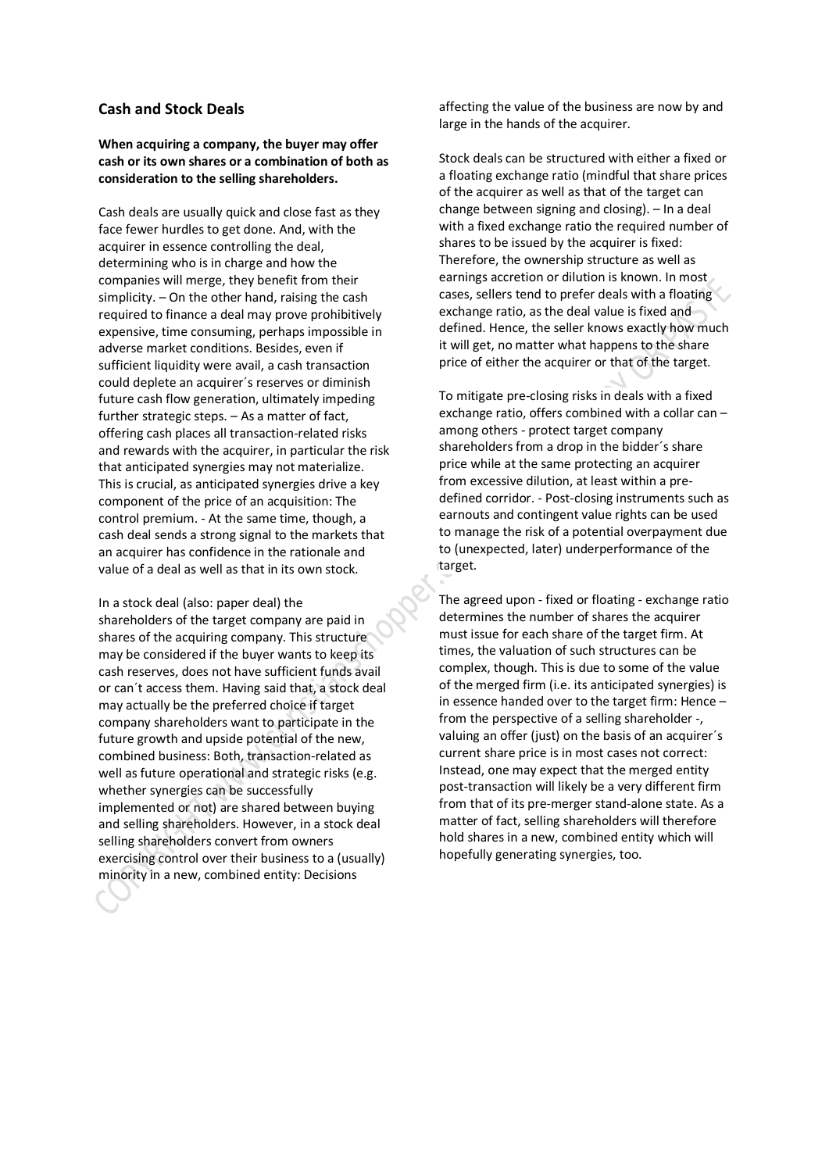## **Cash and Stock Deals**

## **When acquiring a company, the buyer may offer cash or its own shares or a combination of both as consideration to the selling shareholders.**

Cash deals are usually quick and close fast as they face fewer hurdles to get done. And, with the acquirer in essence controlling the deal, determining who is in charge and how the companies will merge, they benefit from their simplicity. – On the other hand, raising the cash required to finance a deal may prove prohibitively expensive, time consuming, perhaps impossible in adverse market conditions. Besides, even if sufficient liquidity were avail, a cash transaction could deplete an acquirer´s reserves or diminish future cash flow generation, ultimately impeding further strategic steps. – As a matter of fact, offering cash places all transaction-related risks and rewards with the acquirer, in particular the risk that anticipated synergies may not materialize. This is crucial, as anticipated synergies drive a key component of the price of an acquisition: The control premium. - At the same time, though, a cash deal sends a strong signal to the markets that an acquirer has confidence in the rationale and value of a deal as well as that in its own stock.

In a stock deal (also: paper deal) the shareholders of the target company are paid in shares of the acquiring company. This structure may be considered if the buyer wants to keep its cash reserves, does not have sufficient funds avail or can´t access them. Having said that, a stock deal may actually be the preferred choice if target company shareholders want to participate in the future growth and upside potential of the new, combined business: Both, transaction-related as well as future operational and strategic risks (e.g. whether synergies can be successfully implemented or not) are shared between buying and selling shareholders. However, in a stock deal selling shareholders convert from owners exercising control over their business to a (usually) minority in a new, combined entity: Decisions

affecting the value of the business are now by and large in the hands of the acquirer.

Stock deals can be structured with either a fixed or a floating exchange ratio (mindful that share prices of the acquirer as well as that of the target can change between signing and closing). – In a deal with a fixed exchange ratio the required number of shares to be issued by the acquirer is fixed: Therefore, the ownership structure as well as earnings accretion or dilution is known. In most cases, sellers tend to prefer deals with a floating exchange ratio, as the deal value is fixed and defined. Hence, the seller knows exactly how much it will get, no matter what happens to the share price of either the acquirer or that of the target.

To mitigate pre-closing risks in deals with a fixed exchange ratio, offers combined with a collar can – among others - protect target company shareholders from a drop in the bidder´s share price while at the same protecting an acquirer from excessive dilution, at least within a predefined corridor. - Post-closing instruments such as earnouts and contingent value rights can be used to manage the risk of a potential overpayment due to (unexpected, later) underperformance of the target.

The agreed upon - fixed or floating - exchange ratio determines the number of shares the acquirer must issue for each share of the target firm. At times, the valuation of such structures can be complex, though. This is due to some of the value of the merged firm (i.e. its anticipated synergies) is in essence handed over to the target firm: Hence – from the perspective of a selling shareholder -, valuing an offer (just) on the basis of an acquirer´s current share price is in most cases not correct: Instead, one may expect that the merged entity post-transaction will likely be a very different firm from that of its pre-merger stand-alone state. As a matter of fact, selling shareholders will therefore hold shares in a new, combined entity which will hopefully generating synergies, too.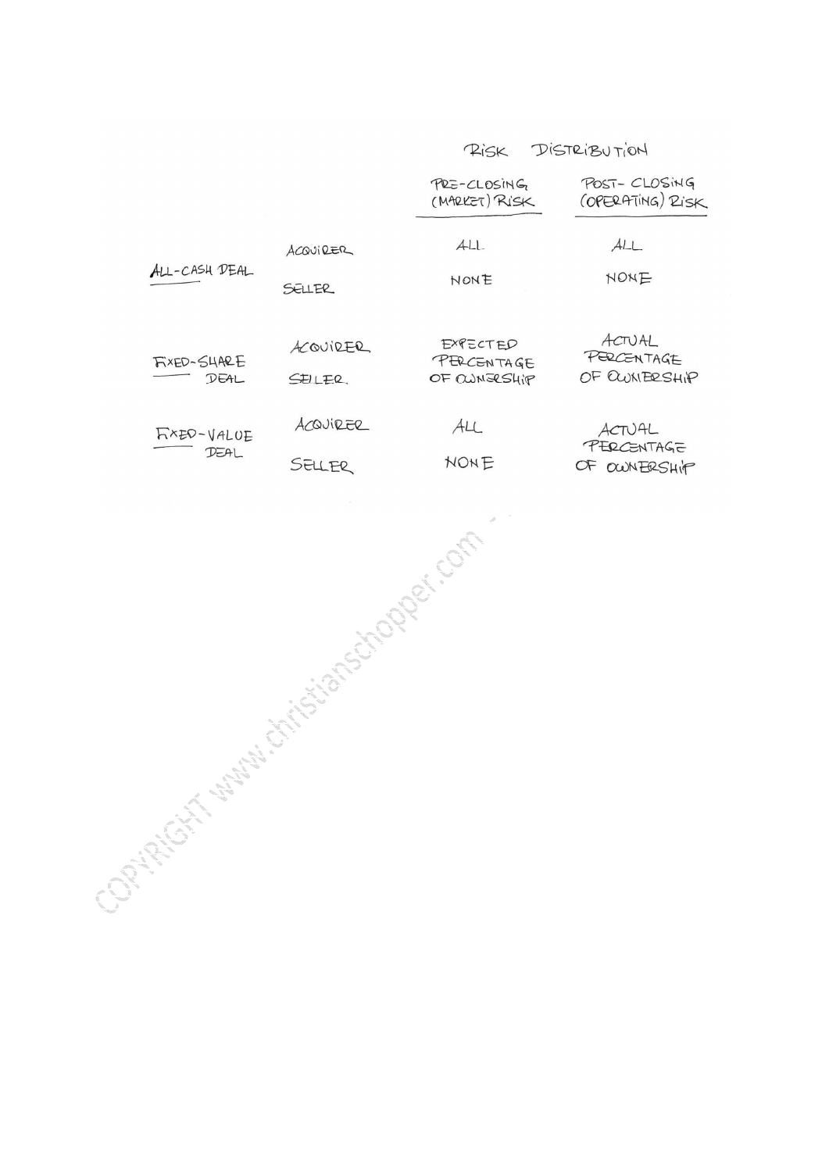DISTRIBUTION RISK

|                                                                                                                                                                                                                                |                    | PRE-CLOSING<br>(MARKET) RISK           | POST-CLOSING<br>(OPERATING) RISK      |
|--------------------------------------------------------------------------------------------------------------------------------------------------------------------------------------------------------------------------------|--------------------|----------------------------------------|---------------------------------------|
| ALL-CASH DEAL                                                                                                                                                                                                                  | ACQUIRER<br>SELLER | ALL<br>NONE                            | ALL<br>NONE                           |
| FIXED-SHARE<br>DEAL                                                                                                                                                                                                            | ACQUIRER<br>SELLER | EXPECTED<br>PERCENTAGE<br>OF CUNGESHIP | ACTUAL<br>PERCENTAGE<br>OF CWNERSHIP  |
| FXED-VALUE<br>$D\Xi A$                                                                                                                                                                                                         | ACQUIRER<br>SELLER | AL<br>NONE                             | ACTUAL<br>PERCENTAGE<br>OF OWN ERSHIP |
| Constitution of the wave of constant of the constitution of the constitution of the constitution of the constitution of the constitution of the constitution of the constitution of the constitution of the constitution of th |                    |                                        |                                       |